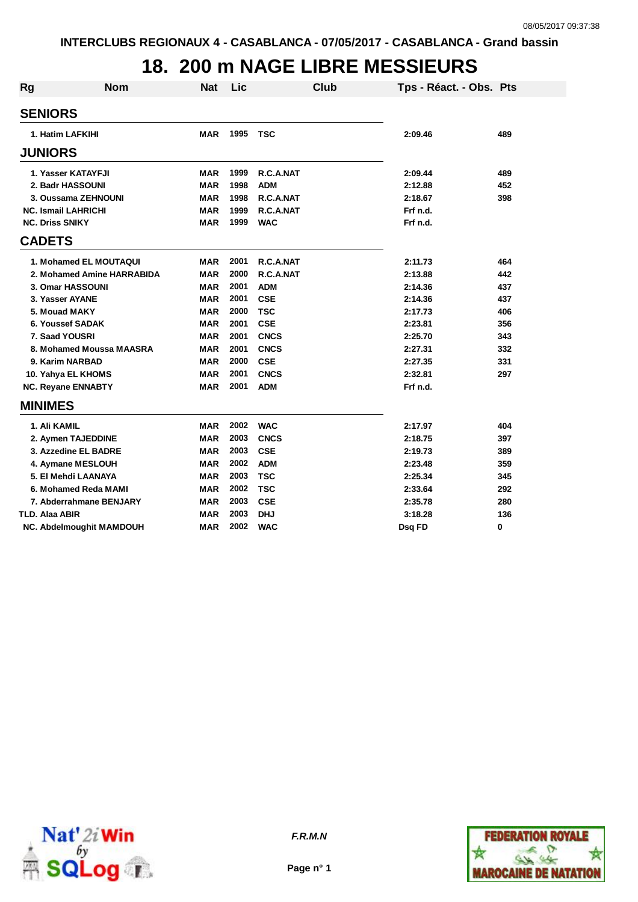### **18. 200 m NAGE LIBRE MESSIEURS**

| Rg                     | <b>Nom</b>                      | <b>Nat</b> | Lic  | Club        | Tps - Réact. - Obs. Pts |     |
|------------------------|---------------------------------|------------|------|-------------|-------------------------|-----|
| <b>SENIORS</b>         |                                 |            |      |             |                         |     |
|                        | 1. Hatim LAFKIHI                | <b>MAR</b> | 1995 | <b>TSC</b>  | 2:09.46                 | 489 |
| <b>JUNIORS</b>         |                                 |            |      |             |                         |     |
|                        | 1. Yasser KATAYFJI              | <b>MAR</b> | 1999 | R.C.A.NAT   | 2:09.44                 | 489 |
|                        | 2. Badr HASSOUNI                | <b>MAR</b> | 1998 | <b>ADM</b>  | 2:12.88                 | 452 |
|                        | 3. Oussama ZEHNOUNI             | <b>MAR</b> | 1998 | R.C.A.NAT   | 2:18.67                 | 398 |
|                        | <b>NC. Ismail LAHRICHI</b>      | <b>MAR</b> | 1999 | R.C.A.NAT   | Frf n.d.                |     |
| <b>NC. Driss SNIKY</b> |                                 | <b>MAR</b> | 1999 | <b>WAC</b>  | Frf n.d.                |     |
| <b>CADETS</b>          |                                 |            |      |             |                         |     |
|                        | 1. Mohamed EL MOUTAQUI          | <b>MAR</b> | 2001 | R.C.A.NAT   | 2:11.73                 | 464 |
|                        | 2. Mohamed Amine HARRABIDA      | <b>MAR</b> | 2000 | R.C.A.NAT   | 2:13.88                 | 442 |
|                        | 3. Omar HASSOUNI                | <b>MAR</b> | 2001 | <b>ADM</b>  | 2:14.36                 | 437 |
|                        | 3. Yasser AYANE                 | <b>MAR</b> | 2001 | <b>CSE</b>  | 2:14.36                 | 437 |
| 5. Mouad MAKY          |                                 | <b>MAR</b> | 2000 | <b>TSC</b>  | 2:17.73                 | 406 |
|                        | 6. Youssef SADAK                | <b>MAR</b> | 2001 | <b>CSE</b>  | 2:23.81                 | 356 |
| 7. Saad YOUSRI         |                                 | <b>MAR</b> | 2001 | <b>CNCS</b> | 2:25.70                 | 343 |
|                        | 8. Mohamed Moussa MAASRA        | <b>MAR</b> | 2001 | <b>CNCS</b> | 2:27.31                 | 332 |
|                        | 9. Karim NARBAD                 | <b>MAR</b> | 2000 | <b>CSE</b>  | 2:27.35                 | 331 |
|                        | 10. Yahya EL KHOMS              | <b>MAR</b> | 2001 | <b>CNCS</b> | 2:32.81                 | 297 |
|                        | <b>NC. Reyane ENNABTY</b>       | <b>MAR</b> | 2001 | <b>ADM</b>  | Frf n.d.                |     |
| <b>MINIMES</b>         |                                 |            |      |             |                         |     |
| 1. Ali KAMIL           |                                 | <b>MAR</b> | 2002 | <b>WAC</b>  | 2:17.97                 | 404 |
|                        | 2. Aymen TAJEDDINE              | <b>MAR</b> | 2003 | <b>CNCS</b> | 2:18.75                 | 397 |
|                        | 3. Azzedine EL BADRE            | <b>MAR</b> | 2003 | <b>CSE</b>  | 2:19.73                 | 389 |
|                        | 4. Aymane MESLOUH               | <b>MAR</b> | 2002 | <b>ADM</b>  | 2:23.48                 | 359 |
|                        | 5. El Mehdi LAANAYA             | <b>MAR</b> | 2003 | <b>TSC</b>  | 2:25.34                 | 345 |
|                        | 6. Mohamed Reda MAMI            | MAR        | 2002 | <b>TSC</b>  | 2:33.64                 | 292 |
|                        | 7. Abderrahmane BENJARY         | MAR        | 2003 | <b>CSE</b>  | 2:35.78                 | 280 |
| TLD. Alaa ABIR         |                                 | MAR        | 2003 | <b>DHJ</b>  | 3:18.28                 | 136 |
|                        | <b>NC. Abdelmoughit MAMDOUH</b> | <b>MAR</b> | 2002 | <b>WAC</b>  | Dsq FD                  | 0   |



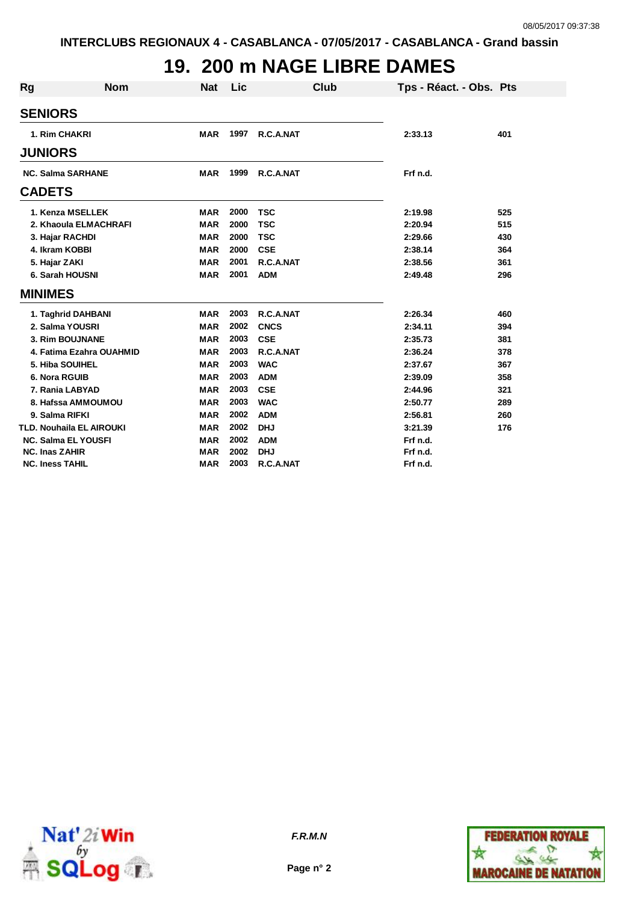# **19. 200 m NAGE LIBRE DAMES**

| Rg                     | <b>Nom</b>                 | <b>Nat</b> | Lic  |             | <b>Club</b> | Tps - Réact. - Obs. Pts |     |
|------------------------|----------------------------|------------|------|-------------|-------------|-------------------------|-----|
| <b>SENIORS</b>         |                            |            |      |             |             |                         |     |
|                        | 1. Rim CHAKRI              | <b>MAR</b> | 1997 | R.C.A.NAT   |             | 2:33.13                 | 401 |
| <b>JUNIORS</b>         |                            |            |      |             |             |                         |     |
|                        | <b>NC. Salma SARHANE</b>   | <b>MAR</b> | 1999 | R.C.A.NAT   |             | Frf n.d.                |     |
| <b>CADETS</b>          |                            |            |      |             |             |                         |     |
|                        | 1. Kenza MSELLEK           | <b>MAR</b> | 2000 | <b>TSC</b>  |             | 2:19.98                 | 525 |
|                        | 2. Khaoula ELMACHRAFI      | <b>MAR</b> | 2000 | <b>TSC</b>  |             | 2:20.94                 | 515 |
|                        | 3. Hajar RACHDI            | <b>MAR</b> | 2000 | <b>TSC</b>  |             | 2:29.66                 | 430 |
|                        | 4. Ikram KOBBI             | <b>MAR</b> | 2000 | <b>CSE</b>  |             | 2:38.14                 | 364 |
| 5. Hajar ZAKI          |                            | <b>MAR</b> | 2001 | R.C.A.NAT   |             | 2:38.56                 | 361 |
|                        | 6. Sarah HOUSNI            | <b>MAR</b> | 2001 | <b>ADM</b>  |             | 2:49.48                 | 296 |
| <b>MINIMES</b>         |                            |            |      |             |             |                         |     |
|                        | 1. Taghrid DAHBANI         | <b>MAR</b> | 2003 | R.C.A.NAT   |             | 2:26.34                 | 460 |
|                        | 2. Salma YOUSRI            | <b>MAR</b> | 2002 | <b>CNCS</b> |             | 2:34.11                 | 394 |
|                        | 3. Rim BOUJNANE            | <b>MAR</b> | 2003 | <b>CSE</b>  |             | 2:35.73                 | 381 |
|                        | 4. Fatima Ezahra OUAHMID   | <b>MAR</b> | 2003 | R.C.A.NAT   |             | 2:36.24                 | 378 |
|                        | 5. Hiba SOUIHEL            | <b>MAR</b> | 2003 | <b>WAC</b>  |             | 2:37.67                 | 367 |
| 6. Nora RGUIB          |                            | <b>MAR</b> | 2003 | <b>ADM</b>  |             | 2:39.09                 | 358 |
|                        | 7. Rania LABYAD            | <b>MAR</b> | 2003 | <b>CSE</b>  |             | 2:44.96                 | 321 |
|                        | 8. Hafssa AMMOUMOU         | <b>MAR</b> | 2003 | <b>WAC</b>  |             | 2:50.77                 | 289 |
|                        | 9. Salma RIFKI             | <b>MAR</b> | 2002 | <b>ADM</b>  |             | 2:56.81                 | 260 |
|                        | TLD. Nouhaila EL AIROUKI   | <b>MAR</b> | 2002 | <b>DHJ</b>  |             | 3:21.39                 | 176 |
|                        | <b>NC. Salma EL YOUSFI</b> | <b>MAR</b> | 2002 | <b>ADM</b>  |             | Frf n.d.                |     |
| <b>NC. Inas ZAHIR</b>  |                            | <b>MAR</b> | 2002 | <b>DHJ</b>  |             | Frf n.d.                |     |
| <b>NC. Iness TAHIL</b> |                            | <b>MAR</b> | 2003 | R.C.A.NAT   |             | Frf n.d.                |     |





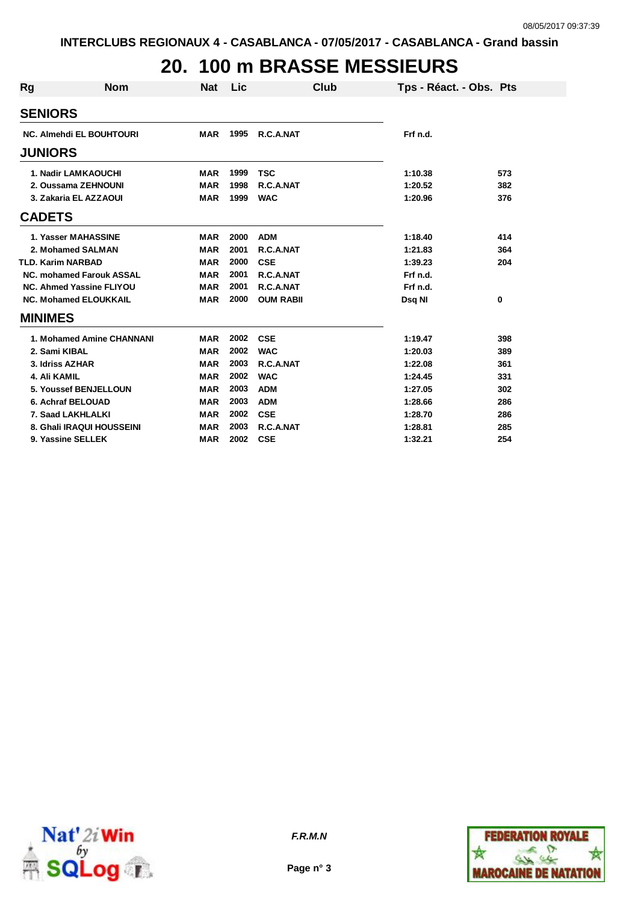# **20. 100 m BRASSE MESSIEURS**

| <b>Rg</b>      | <b>Nom</b>                      | <b>Nat</b> | <b>Lic</b> | Club             | Tps - Réact. - Obs. Pts |     |
|----------------|---------------------------------|------------|------------|------------------|-------------------------|-----|
|                |                                 |            |            |                  |                         |     |
| <b>SENIORS</b> |                                 |            |            |                  |                         |     |
|                | <b>NC. Almehdi EL BOUHTOURI</b> | MAR        | 1995       | R.C.A.NAT        | Frf n.d.                |     |
| <b>JUNIORS</b> |                                 |            |            |                  |                         |     |
|                | <b>1. Nadir LAMKAOUCHI</b>      | <b>MAR</b> | 1999       | <b>TSC</b>       | 1:10.38                 | 573 |
|                | 2. Oussama ZEHNOUNI             | <b>MAR</b> | 1998       | R.C.A.NAT        | 1:20.52                 | 382 |
|                | 3. Zakaria EL AZZAOUI           | <b>MAR</b> | 1999       | <b>WAC</b>       | 1:20.96                 | 376 |
| <b>CADETS</b>  |                                 |            |            |                  |                         |     |
|                | 1. Yasser MAHASSINE             | <b>MAR</b> | 2000       | <b>ADM</b>       | 1:18.40                 | 414 |
|                | 2. Mohamed SALMAN               | <b>MAR</b> | 2001       | R.C.A.NAT        | 1:21.83                 | 364 |
|                | <b>TLD. Karim NARBAD</b>        | <b>MAR</b> | 2000       | <b>CSE</b>       | 1:39.23                 | 204 |
|                | NC. mohamed Farouk ASSAL        | <b>MAR</b> | 2001       | R.C.A.NAT        | Frf n.d.                |     |
|                | <b>NC. Ahmed Yassine FLIYOU</b> | <b>MAR</b> | 2001       | R.C.A.NAT        | Frf n.d.                |     |
|                | <b>NC. Mohamed ELOUKKAIL</b>    | <b>MAR</b> | 2000       | <b>OUM RABII</b> | Dsq NI                  | 0   |
| <b>MINIMES</b> |                                 |            |            |                  |                         |     |
|                | 1. Mohamed Amine CHANNANI       | <b>MAR</b> | 2002       | <b>CSE</b>       | 1:19.47                 | 398 |
| 2. Sami KIBAL  |                                 | <b>MAR</b> | 2002       | <b>WAC</b>       | 1:20.03                 | 389 |
|                | 3. Idriss AZHAR                 | <b>MAR</b> | 2003       | R.C.A.NAT        | 1:22.08                 | 361 |
| 4. Ali KAMIL   |                                 | <b>MAR</b> | 2002       | <b>WAC</b>       | 1:24.45                 | 331 |
|                | 5. Youssef BENJELLOUN           | <b>MAR</b> | 2003       | <b>ADM</b>       | 1:27.05                 | 302 |
|                | 6. Achraf BELOUAD               | <b>MAR</b> | 2003       | <b>ADM</b>       | 1:28.66                 | 286 |
|                | 7. Saad LAKHLALKI               | <b>MAR</b> | 2002       | <b>CSE</b>       | 1:28.70                 | 286 |
|                | 8. Ghali IRAQUI HOUSSEINI       | <b>MAR</b> | 2003       | R.C.A.NAT        | 1:28.81                 | 285 |
|                | 9. Yassine SELLEK               | <b>MAR</b> | 2002       | <b>CSE</b>       | 1:32.21                 | 254 |



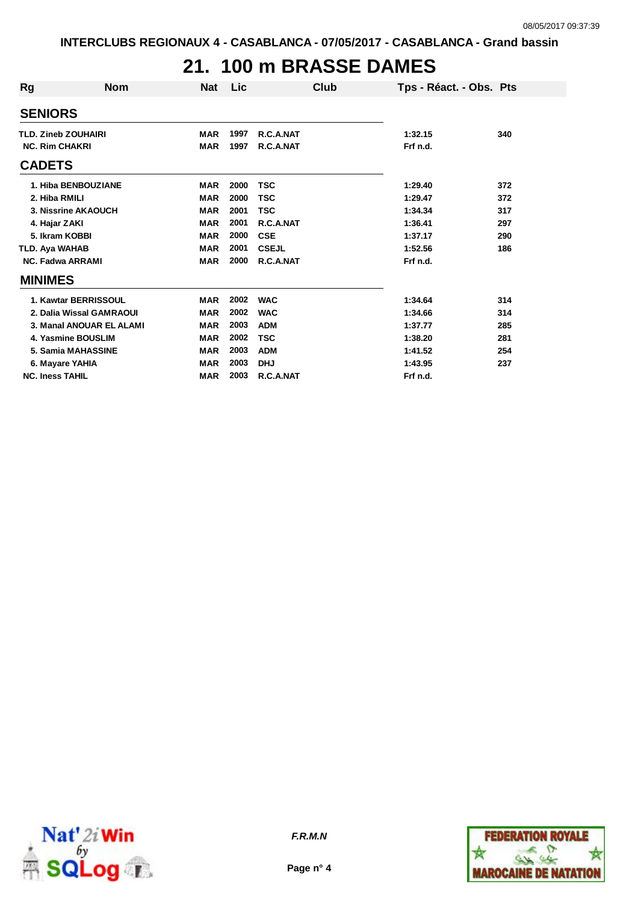# **21. 100 m BRASSE DAMES**

| Rg                         | <b>Nom</b>               | Nat        | Lic  | Club         | Tps - Réact. - Obs. Pts |     |
|----------------------------|--------------------------|------------|------|--------------|-------------------------|-----|
| <b>SENIORS</b>             |                          |            |      |              |                         |     |
| <b>TLD. Zineb ZOUHAIRI</b> |                          | <b>MAR</b> | 1997 | R.C.A.NAT    | 1:32.15                 | 340 |
| <b>NC. Rim CHAKRI</b>      |                          | <b>MAR</b> | 1997 | R.C.A.NAT    | Frf n.d.                |     |
| <b>CADETS</b>              |                          |            |      |              |                         |     |
|                            | 1. Hiba BENBOUZIANE      | <b>MAR</b> | 2000 | <b>TSC</b>   | 1:29.40                 | 372 |
| 2. Hiba RMILI              |                          | <b>MAR</b> | 2000 | <b>TSC</b>   | 1:29.47                 | 372 |
|                            | 3. Nissrine AKAOUCH      | <b>MAR</b> | 2001 | <b>TSC</b>   | 1:34.34                 | 317 |
| 4. Hajar ZAKI              |                          | <b>MAR</b> | 2001 | R.C.A.NAT    | 1:36.41                 | 297 |
| 5. Ikram KOBBI             |                          | <b>MAR</b> | 2000 | <b>CSE</b>   | 1:37.17                 | 290 |
| TLD. Aya WAHAB             |                          | <b>MAR</b> | 2001 | <b>CSEJL</b> | 1:52.56                 | 186 |
| <b>NC. Fadwa ARRAMI</b>    |                          | <b>MAR</b> | 2000 | R.C.A.NAT    | Frf n.d.                |     |
| <b>MINIMES</b>             |                          |            |      |              |                         |     |
|                            | 1. Kawtar BERRISSOUL     | <b>MAR</b> | 2002 | <b>WAC</b>   | 1:34.64                 | 314 |
|                            | 2. Dalia Wissal GAMRAOUI | <b>MAR</b> | 2002 | <b>WAC</b>   | 1:34.66                 | 314 |
|                            | 3. Manal ANOUAR EL ALAMI | <b>MAR</b> | 2003 | <b>ADM</b>   | 1:37.77                 | 285 |
| 4. Yasmine BOUSLIM         |                          | <b>MAR</b> | 2002 | <b>TSC</b>   | 1:38.20                 | 281 |
|                            | 5. Samia MAHASSINE       | <b>MAR</b> | 2003 | <b>ADM</b>   | 1:41.52                 | 254 |
| 6. Mayare YAHIA            |                          | <b>MAR</b> | 2003 | <b>DHJ</b>   | 1:43.95                 | 237 |
| <b>NC. Iness TAHIL</b>     |                          | <b>MAR</b> | 2003 | R.C.A.NAT    | Frf n.d.                |     |



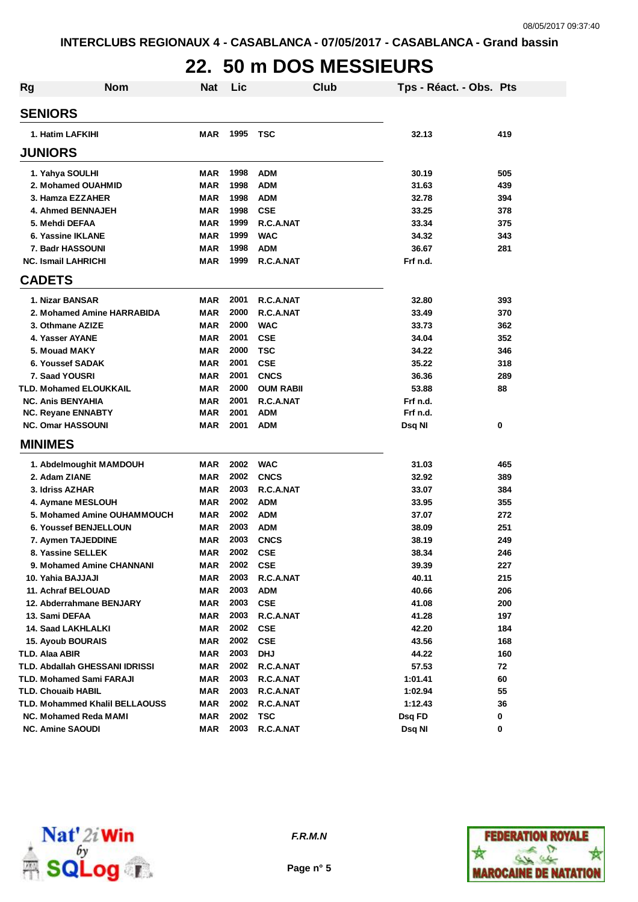# **22. 50 m DOS MESSIEURS**

| <b>Rg</b> | Nom                                   | <b>Nat</b> | Lic  |                  | Club | Tps - Réact. - Obs. Pts |     |
|-----------|---------------------------------------|------------|------|------------------|------|-------------------------|-----|
|           | <b>SENIORS</b>                        |            |      |                  |      |                         |     |
|           | 1. Hatim LAFKIHI                      | <b>MAR</b> | 1995 | <b>TSC</b>       |      | 32.13                   | 419 |
|           | <b>JUNIORS</b>                        |            |      |                  |      |                         |     |
|           | 1. Yahya SOULHI                       | <b>MAR</b> | 1998 | <b>ADM</b>       |      | 30.19                   | 505 |
|           | 2. Mohamed OUAHMID                    | <b>MAR</b> | 1998 | <b>ADM</b>       |      | 31.63                   | 439 |
|           | 3. Hamza EZZAHER                      | <b>MAR</b> | 1998 | <b>ADM</b>       |      | 32.78                   | 394 |
|           | 4. Ahmed BENNAJEH                     | <b>MAR</b> | 1998 | <b>CSE</b>       |      | 33.25                   | 378 |
|           | 5. Mehdi DEFAA                        | <b>MAR</b> | 1999 | R.C.A.NAT        |      | 33.34                   | 375 |
|           | 6. Yassine IKLANE                     | <b>MAR</b> | 1999 | <b>WAC</b>       |      | 34.32                   | 343 |
|           | 7. Badr HASSOUNI                      | <b>MAR</b> | 1998 | <b>ADM</b>       |      | 36.67                   | 281 |
|           | <b>NC. Ismail LAHRICHI</b>            | <b>MAR</b> | 1999 | R.C.A.NAT        |      | Frf n.d.                |     |
|           | <b>CADETS</b>                         |            |      |                  |      |                         |     |
|           | 1. Nizar BANSAR                       | <b>MAR</b> | 2001 | R.C.A.NAT        |      | 32.80                   | 393 |
|           | 2. Mohamed Amine HARRABIDA            | <b>MAR</b> | 2000 | R.C.A.NAT        |      | 33.49                   | 370 |
|           | 3. Othmane AZIZE                      | <b>MAR</b> | 2000 | <b>WAC</b>       |      | 33.73                   | 362 |
|           | 4. Yasser AYANE                       | <b>MAR</b> | 2001 | <b>CSE</b>       |      | 34.04                   | 352 |
|           | 5. Mouad MAKY                         | <b>MAR</b> | 2000 | <b>TSC</b>       |      | 34.22                   | 346 |
|           | 6. Youssef SADAK                      | <b>MAR</b> | 2001 | <b>CSE</b>       |      | 35.22                   | 318 |
|           | 7. Saad YOUSRI                        | <b>MAR</b> | 2001 | <b>CNCS</b>      |      | 36.36                   | 289 |
|           | TLD. Mohamed ELOUKKAIL                | <b>MAR</b> | 2000 | <b>OUM RABII</b> |      | 53.88                   | 88  |
|           | <b>NC. Anis BENYAHIA</b>              | <b>MAR</b> | 2001 | R.C.A.NAT        |      | Frf n.d.                |     |
|           | <b>NC. Reyane ENNABTY</b>             | <b>MAR</b> | 2001 | <b>ADM</b>       |      | Frf n.d.                |     |
|           | <b>NC. Omar HASSOUNI</b>              | <b>MAR</b> | 2001 | <b>ADM</b>       |      | Dsq NI                  | 0   |
|           | <b>MINIMES</b>                        |            |      |                  |      |                         |     |
|           | 1. Abdelmoughit MAMDOUH               | <b>MAR</b> | 2002 | <b>WAC</b>       |      | 31.03                   | 465 |
|           | 2. Adam ZIANE                         | MAR        | 2002 | <b>CNCS</b>      |      | 32.92                   | 389 |
|           | 3. Idriss AZHAR                       | <b>MAR</b> | 2003 | R.C.A.NAT        |      | 33.07                   | 384 |
|           | 4. Aymane MESLOUH                     | <b>MAR</b> | 2002 | <b>ADM</b>       |      | 33.95                   | 355 |
|           | 5. Mohamed Amine OUHAMMOUCH           | <b>MAR</b> | 2002 | <b>ADM</b>       |      | 37.07                   | 272 |
|           | 6. Youssef BENJELLOUN                 | <b>MAR</b> | 2003 | <b>ADM</b>       |      | 38.09                   | 251 |
|           | 7. Aymen TAJEDDINE                    | <b>MAR</b> | 2003 | <b>CNCS</b>      |      | 38.19                   | 249 |
|           | 8. Yassine SELLEK                     | MAR        | 2002 | <b>CSE</b>       |      | 38.34                   | 246 |
|           | 9. Mohamed Amine CHANNANI             | MAR        | 2002 | <b>CSE</b>       |      | 39.39                   | 227 |
|           | 10. Yahia BAJJAJI                     | <b>MAR</b> | 2003 | R.C.A.NAT        |      | 40.11                   | 215 |
|           | 11. Achraf BELOUAD                    | <b>MAR</b> | 2003 | <b>ADM</b>       |      | 40.66                   | 206 |
|           | 12. Abderrahmane BENJARY              | <b>MAR</b> | 2003 | <b>CSE</b>       |      | 41.08                   | 200 |
|           | 13. Sami DEFAA                        | <b>MAR</b> | 2003 | R.C.A.NAT        |      | 41.28                   | 197 |
|           | 14. Saad LAKHLALKI                    | MAR        | 2002 | <b>CSE</b>       |      | 42.20                   | 184 |
|           | <b>15. Ayoub BOURAIS</b>              | <b>MAR</b> | 2002 | <b>CSE</b>       |      | 43.56                   | 168 |
|           | TLD. Alaa ABIR                        | <b>MAR</b> | 2003 | <b>DHJ</b>       |      | 44.22                   | 160 |
|           | <b>TLD. Abdallah GHESSANI IDRISSI</b> | MAR        | 2002 | R.C.A.NAT        |      | 57.53                   | 72  |
|           | TLD. Mohamed Sami FARAJI              | MAR        | 2003 | R.C.A.NAT        |      | 1:01.41                 | 60  |
|           | TLD. Chouaib HABIL                    | <b>MAR</b> | 2003 | R.C.A.NAT        |      | 1:02.94                 | 55  |
|           | TLD. Mohammed Khalil BELLAOUSS        | <b>MAR</b> | 2002 | R.C.A.NAT        |      | 1:12.43                 | 36  |
|           | NC. Mohamed Reda MAMI                 | <b>MAR</b> | 2002 | TSC              |      | Dsq FD                  | 0   |
|           | <b>NC. Amine SAOUDI</b>               | <b>MAR</b> | 2003 | R.C.A.NAT        |      | Dsq NI                  | 0   |



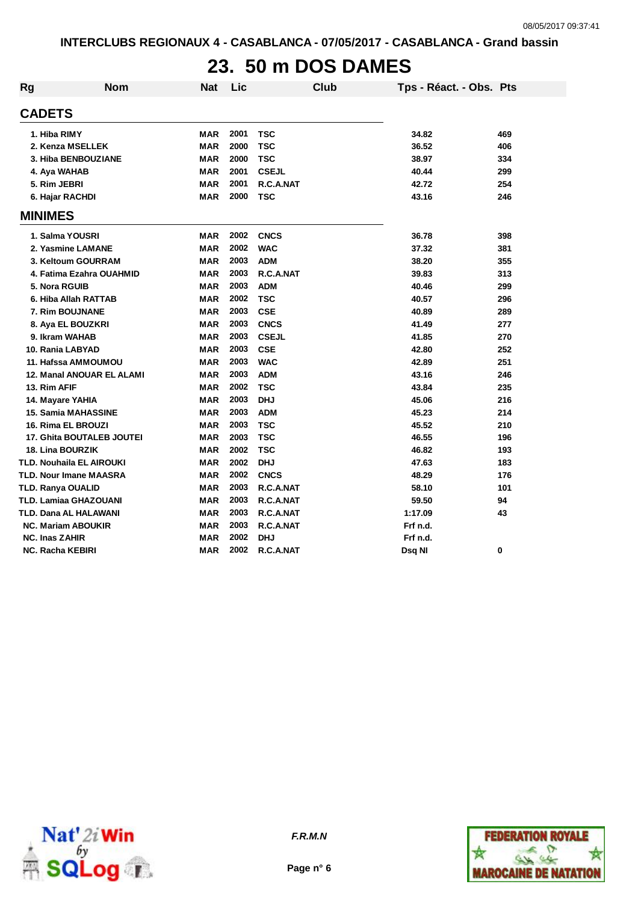#### **23. 50 m DOS DAMES**

| Rg                    | <b>Nom</b>                 | <b>Nat</b> | Lic  | <b>Club</b>  | Tps - Réact. - Obs. Pts |     |
|-----------------------|----------------------------|------------|------|--------------|-------------------------|-----|
| <b>CADETS</b>         |                            |            |      |              |                         |     |
| 1. Hiba RIMY          |                            | <b>MAR</b> | 2001 | <b>TSC</b>   | 34.82                   | 469 |
|                       | 2. Kenza MSELLEK           | <b>MAR</b> | 2000 | TSC          | 36.52                   | 406 |
|                       | 3. Hiba BENBOUZIANE        | <b>MAR</b> | 2000 | <b>TSC</b>   | 38.97                   | 334 |
|                       | 4. Aya WAHAB               | <b>MAR</b> | 2001 | <b>CSEJL</b> | 40.44                   | 299 |
| 5. Rim JEBRI          |                            | <b>MAR</b> | 2001 | R.C.A.NAT    | 42.72                   | 254 |
|                       | 6. Hajar RACHDI            | MAR        | 2000 | <b>TSC</b>   | 43.16                   | 246 |
| <b>MINIMES</b>        |                            |            |      |              |                         |     |
|                       | 1. Salma YOUSRI            | <b>MAR</b> | 2002 | <b>CNCS</b>  | 36.78                   | 398 |
|                       | 2. Yasmine LAMANE          | <b>MAR</b> | 2002 | <b>WAC</b>   | 37.32                   | 381 |
|                       | 3. Keltoum GOURRAM         | <b>MAR</b> | 2003 | <b>ADM</b>   | 38.20                   | 355 |
|                       | 4. Fatima Ezahra OUAHMID   | <b>MAR</b> | 2003 | R.C.A.NAT    | 39.83                   | 313 |
|                       | 5. Nora RGUIB              | <b>MAR</b> | 2003 | <b>ADM</b>   | 40.46                   | 299 |
|                       | 6. Hiba Allah RATTAB       | <b>MAR</b> | 2002 | <b>TSC</b>   | 40.57                   | 296 |
|                       | 7. Rim BOUJNANE            | <b>MAR</b> | 2003 | <b>CSE</b>   | 40.89                   | 289 |
|                       | 8. Aya EL BOUZKRI          | <b>MAR</b> | 2003 | <b>CNCS</b>  | 41.49                   | 277 |
|                       | 9. Ikram WAHAB             | <b>MAR</b> | 2003 | <b>CSEJL</b> | 41.85                   | 270 |
|                       | 10. Rania LABYAD           | <b>MAR</b> | 2003 | <b>CSE</b>   | 42.80                   | 252 |
|                       | 11. Hafssa AMMOUMOU        | <b>MAR</b> | 2003 | <b>WAC</b>   | 42.89                   | 251 |
|                       | 12. Manal ANOUAR EL ALAMI  | <b>MAR</b> | 2003 | <b>ADM</b>   | 43.16                   | 246 |
| 13. Rim AFIF          |                            | <b>MAR</b> | 2002 | <b>TSC</b>   | 43.84                   | 235 |
|                       | 14. Mayare YAHIA           | <b>MAR</b> | 2003 | <b>DHJ</b>   | 45.06                   | 216 |
|                       | <b>15. Samia MAHASSINE</b> | <b>MAR</b> | 2003 | <b>ADM</b>   | 45.23                   | 214 |
|                       | 16. Rima EL BROUZI         | <b>MAR</b> | 2003 | <b>TSC</b>   | 45.52                   | 210 |
|                       | 17. Ghita BOUTALEB JOUTEI  | <b>MAR</b> | 2003 | <b>TSC</b>   | 46.55                   | 196 |
|                       | <b>18. Lina BOURZIK</b>    | <b>MAR</b> | 2002 | <b>TSC</b>   | 46.82                   | 193 |
|                       | TLD. Nouhaila EL AIROUKI   | <b>MAR</b> | 2002 | <b>DHJ</b>   | 47.63                   | 183 |
|                       | TLD. Nour Imane MAASRA     | <b>MAR</b> | 2002 | <b>CNCS</b>  | 48.29                   | 176 |
|                       | TLD. Ranya OUALID          | <b>MAR</b> | 2003 | R.C.A.NAT    | 58.10                   | 101 |
|                       | TLD. Lamiaa GHAZOUANI      | <b>MAR</b> | 2003 | R.C.A.NAT    | 59.50                   | 94  |
|                       | TLD. Dana AL HALAWANI      | <b>MAR</b> | 2003 | R.C.A.NAT    | 1:17.09                 | 43  |
|                       | <b>NC. Mariam ABOUKIR</b>  | <b>MAR</b> | 2003 | R.C.A.NAT    | Frf n.d.                |     |
| <b>NC. Inas ZAHIR</b> |                            | <b>MAR</b> | 2002 | <b>DHJ</b>   | Frf n.d.                |     |
|                       | <b>NC. Racha KEBIRI</b>    | <b>MAR</b> | 2002 | R.C.A.NAT    | Dsq NI                  | 0   |



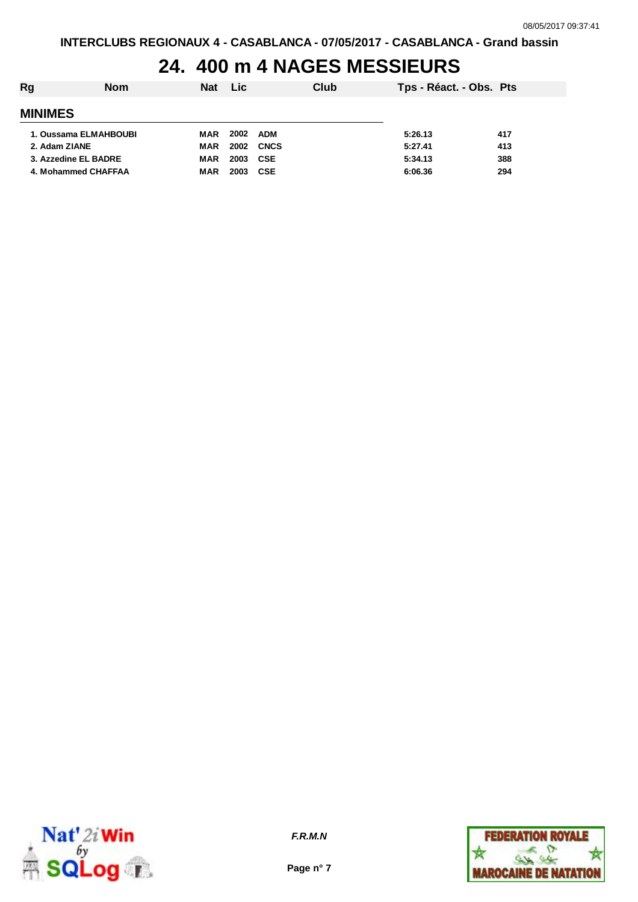# **24. 400 m 4 NAGES MESSIEURS**

| Rg                    | <b>Nom</b> | <b>Nat</b> | <b>Lic</b> |             | Club | Tps - Réact. - Obs. Pts |     |
|-----------------------|------------|------------|------------|-------------|------|-------------------------|-----|
| <b>MINIMES</b>        |            |            |            |             |      |                         |     |
| 1. Oussama ELMAHBOUBI |            | MAR        | 2002       | <b>ADM</b>  |      | 5:26.13                 | 417 |
| 2. Adam ZIANE         |            | MAR        | 2002       | <b>CNCS</b> |      | 5:27.41                 | 413 |
| 3. Azzedine EL BADRE  |            | <b>MAR</b> | 2003       | <b>CSE</b>  |      | 5:34.13                 | 388 |
| 4. Mohammed CHAFFAA   |            | <b>MAR</b> | 2003       | <b>CSE</b>  |      | 6:06.36                 | 294 |



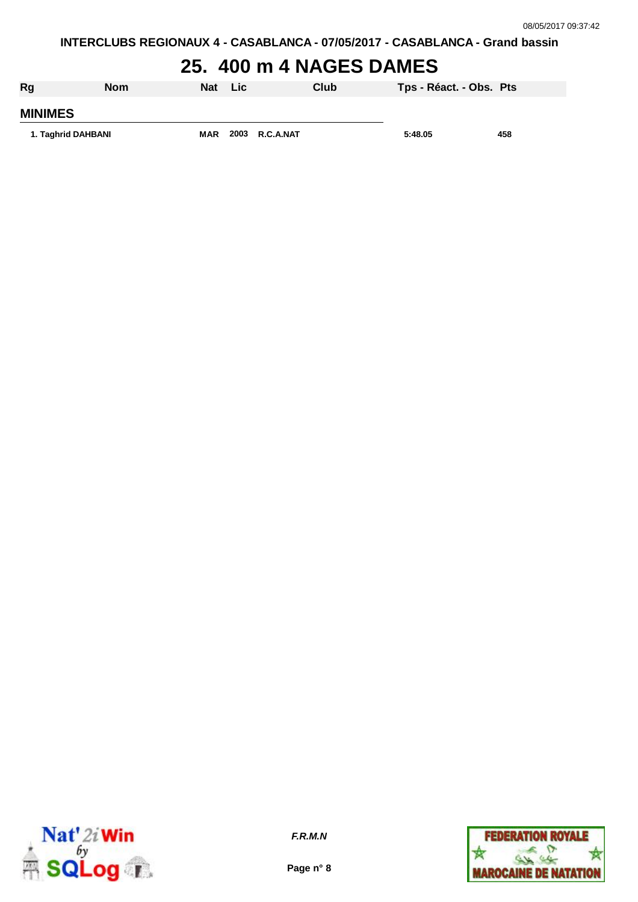#### **25. 400 m 4 NAGES DAMES**

| Rg                 | <b>Nom</b> | Nat        | <b>Lic</b> |                | Club | Tps - Réact. - Obs. Pts |     |
|--------------------|------------|------------|------------|----------------|------|-------------------------|-----|
| <b>MINIMES</b>     |            |            |            |                |      |                         |     |
| 1. Taghrid DAHBANI |            | <b>MAR</b> |            | 2003 R.C.A.NAT |      | 5:48.05                 | 458 |



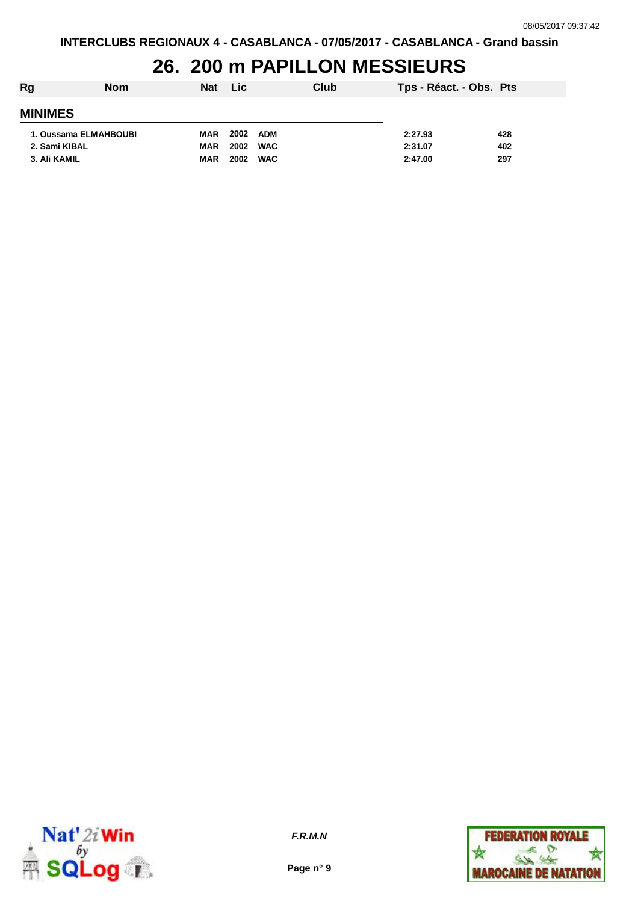#### **26. 200 m PAPILLON MESSIEURS**

| Rg                    | <b>Nom</b> | <b>Nat</b> | <b>Lic</b> |            | Club | Tps - Réact. - Obs. Pts |     |
|-----------------------|------------|------------|------------|------------|------|-------------------------|-----|
| <b>MINIMES</b>        |            |            |            |            |      |                         |     |
| 1. Oussama ELMAHBOUBI |            | MAR        | 2002       | <b>ADM</b> |      | 2:27.93                 | 428 |
| 2. Sami KIBAL         |            | MAR        | 2002       | <b>WAC</b> |      | 2:31.07                 | 402 |
| 3. Ali KAMIL          |            | <b>MAR</b> | 2002       | <b>WAC</b> |      | 2:47.00                 | 297 |



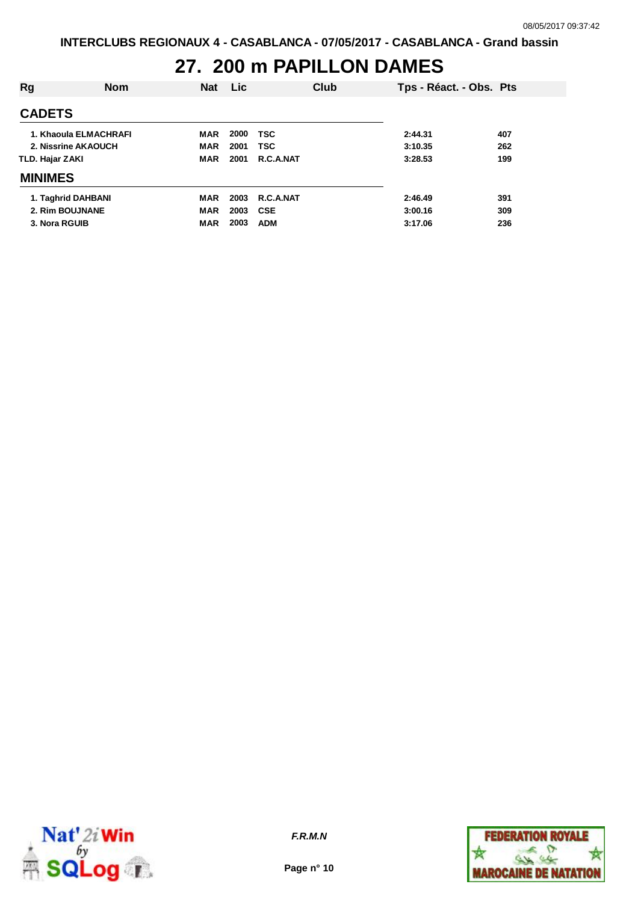# **27. 200 m PAPILLON DAMES**

| Rg                    | <b>Nom</b> | <b>Nat</b> | Lic. |            | Club | Tps - Réact. - Obs. Pts |     |
|-----------------------|------------|------------|------|------------|------|-------------------------|-----|
| <b>CADETS</b>         |            |            |      |            |      |                         |     |
| 1. Khaoula ELMACHRAFI |            | <b>MAR</b> | 2000 | <b>TSC</b> |      | 2:44.31                 | 407 |
| 2. Nissrine AKAOUCH   |            | <b>MAR</b> | 2001 | <b>TSC</b> |      | 3:10.35                 | 262 |
| TLD. Hajar ZAKI       |            | <b>MAR</b> | 2001 | R.C.A.NAT  |      | 3:28.53                 | 199 |
| <b>MINIMES</b>        |            |            |      |            |      |                         |     |
| 1. Taghrid DAHBANI    |            | <b>MAR</b> | 2003 | R.C.A.NAT  |      | 2:46.49                 | 391 |
| 2. Rim BOUJNANE       |            | <b>MAR</b> | 2003 | <b>CSE</b> |      | 3:00.16                 | 309 |
| 3. Nora RGUIB         |            | <b>MAR</b> | 2003 | <b>ADM</b> |      | 3:17.06                 | 236 |



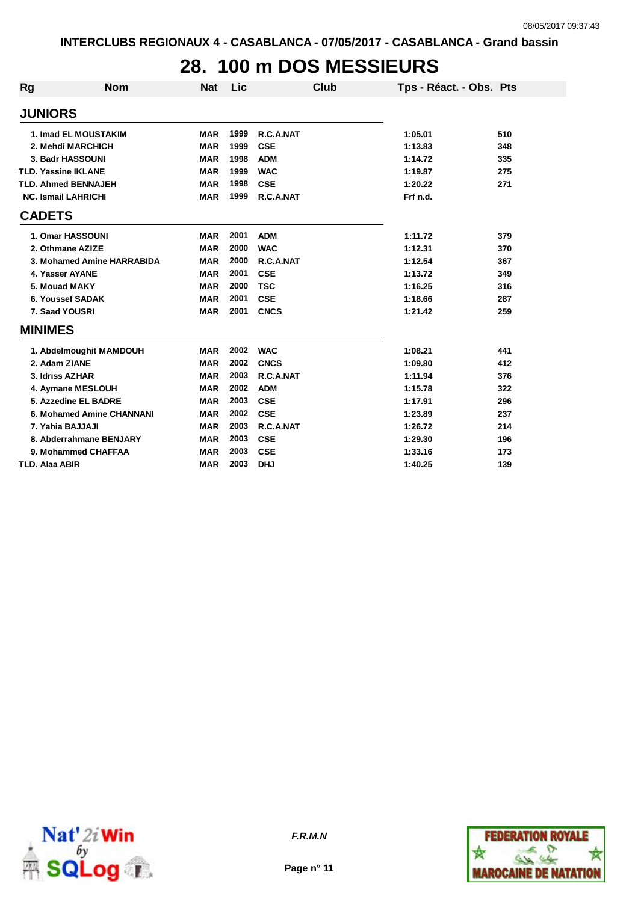### **28. 100 m DOS MESSIEURS**

| Rg                    | <b>Nom</b>                 | <b>Nat</b> | Lic  | Club        | Tps - Réact. - Obs. Pts |     |
|-----------------------|----------------------------|------------|------|-------------|-------------------------|-----|
| <b>JUNIORS</b>        |                            |            |      |             |                         |     |
|                       | 1. Imad EL MOUSTAKIM       | <b>MAR</b> | 1999 | R.C.A.NAT   | 1:05.01                 | 510 |
|                       | 2. Mehdi MARCHICH          | <b>MAR</b> | 1999 | <b>CSE</b>  | 1:13.83                 | 348 |
|                       | 3. Badr HASSOUNI           | <b>MAR</b> | 1998 | <b>ADM</b>  | 1:14.72                 | 335 |
|                       | <b>TLD. Yassine IKLANE</b> | <b>MAR</b> | 1999 | <b>WAC</b>  | 1:19.87                 | 275 |
|                       | <b>TLD. Ahmed BENNAJEH</b> | <b>MAR</b> | 1998 | <b>CSE</b>  | 1:20.22                 | 271 |
|                       | <b>NC. Ismail LAHRICHI</b> | <b>MAR</b> | 1999 | R.C.A.NAT   | Frf n.d.                |     |
| <b>CADETS</b>         |                            |            |      |             |                         |     |
|                       | 1. Omar HASSOUNI           | <b>MAR</b> | 2001 | <b>ADM</b>  | 1:11.72                 | 379 |
|                       | 2. Othmane AZIZE           | <b>MAR</b> | 2000 | <b>WAC</b>  | 1:12.31                 | 370 |
|                       | 3. Mohamed Amine HARRABIDA | <b>MAR</b> | 2000 | R.C.A.NAT   | 1:12.54                 | 367 |
|                       | 4. Yasser AYANE            | <b>MAR</b> | 2001 | <b>CSE</b>  | 1:13.72                 | 349 |
|                       | 5. Mouad MAKY              | <b>MAR</b> | 2000 | <b>TSC</b>  | 1:16.25                 | 316 |
|                       | 6. Youssef SADAK           | <b>MAR</b> | 2001 | <b>CSE</b>  | 1:18.66                 | 287 |
|                       | 7. Saad YOUSRI             | <b>MAR</b> | 2001 | <b>CNCS</b> | 1:21.42                 | 259 |
| <b>MINIMES</b>        |                            |            |      |             |                         |     |
|                       | 1. Abdelmoughit MAMDOUH    | <b>MAR</b> | 2002 | <b>WAC</b>  | 1:08.21                 | 441 |
|                       | 2. Adam ZIANE              | <b>MAR</b> | 2002 | <b>CNCS</b> | 1:09.80                 | 412 |
|                       | 3. Idriss AZHAR            | <b>MAR</b> | 2003 | R.C.A.NAT   | 1:11.94                 | 376 |
|                       | 4. Aymane MESLOUH          | <b>MAR</b> | 2002 | <b>ADM</b>  | 1:15.78                 | 322 |
|                       | 5. Azzedine EL BADRE       | <b>MAR</b> | 2003 | <b>CSE</b>  | 1:17.91                 | 296 |
|                       | 6. Mohamed Amine CHANNANI  | <b>MAR</b> | 2002 | <b>CSE</b>  | 1:23.89                 | 237 |
|                       | 7. Yahia BAJJAJI           | <b>MAR</b> | 2003 | R.C.A.NAT   | 1:26.72                 | 214 |
|                       | 8. Abderrahmane BENJARY    | <b>MAR</b> | 2003 | <b>CSE</b>  | 1:29.30                 | 196 |
|                       | 9. Mohammed CHAFFAA        | <b>MAR</b> | 2003 | <b>CSE</b>  | 1:33.16                 | 173 |
| <b>TLD. Alaa ABIR</b> |                            | <b>MAR</b> | 2003 | <b>DHJ</b>  | 1:40.25                 | 139 |





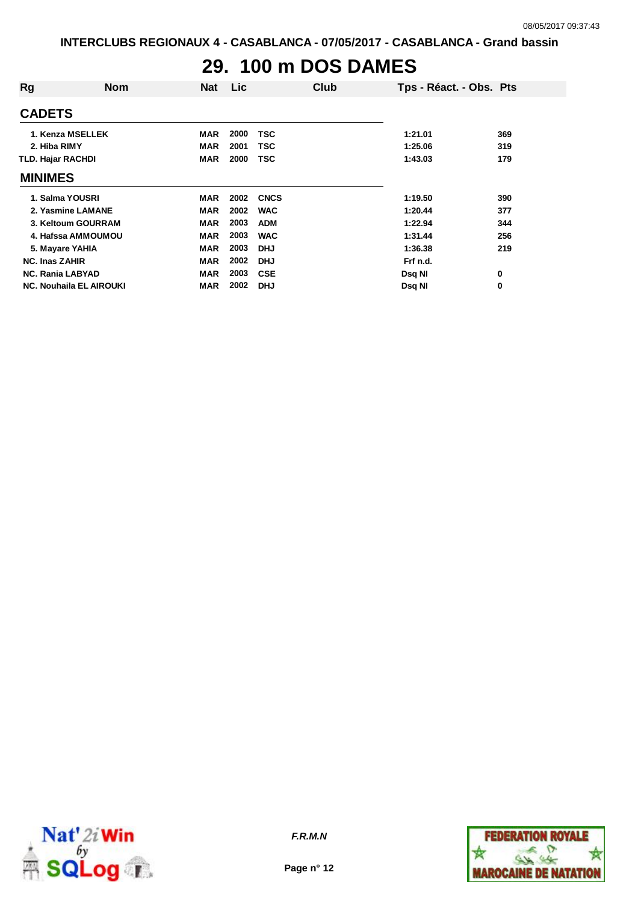### **29. 100 m DOS DAMES**

| Rg                             | <b>Nom</b> | <b>Nat</b> | Lic. |             | Club | Tps - Réact. - Obs. Pts |     |
|--------------------------------|------------|------------|------|-------------|------|-------------------------|-----|
| <b>CADETS</b>                  |            |            |      |             |      |                         |     |
| 1. Kenza MSELLEK               |            | <b>MAR</b> | 2000 | <b>TSC</b>  |      | 1:21.01                 | 369 |
| 2. Hiba RIMY                   |            | <b>MAR</b> | 2001 | <b>TSC</b>  |      | 1:25.06                 | 319 |
| <b>TLD. Hajar RACHDI</b>       |            | <b>MAR</b> | 2000 | <b>TSC</b>  |      | 1:43.03                 | 179 |
| <b>MINIMES</b>                 |            |            |      |             |      |                         |     |
| 1. Salma YOUSRI                |            | <b>MAR</b> | 2002 | <b>CNCS</b> |      | 1:19.50                 | 390 |
| 2. Yasmine LAMANE              |            | <b>MAR</b> | 2002 | <b>WAC</b>  |      | 1:20.44                 | 377 |
| 3. Keltoum GOURRAM             |            | <b>MAR</b> | 2003 | <b>ADM</b>  |      | 1:22.94                 | 344 |
| 4. Hafssa AMMOUMOU             |            | <b>MAR</b> | 2003 | <b>WAC</b>  |      | 1:31.44                 | 256 |
| 5. Mayare YAHIA                |            | <b>MAR</b> | 2003 | <b>DHJ</b>  |      | 1:36.38                 | 219 |
| <b>NC. Inas ZAHIR</b>          |            | <b>MAR</b> | 2002 | <b>DHJ</b>  |      | Frf n.d.                |     |
| <b>NC. Rania LABYAD</b>        |            | <b>MAR</b> | 2003 | <b>CSE</b>  |      | Dsq NI                  | 0   |
| <b>NC. Nouhaila EL AIROUKI</b> |            | <b>MAR</b> | 2002 | <b>DHJ</b>  |      | Dsq NI                  | 0   |



**Page n° 12**

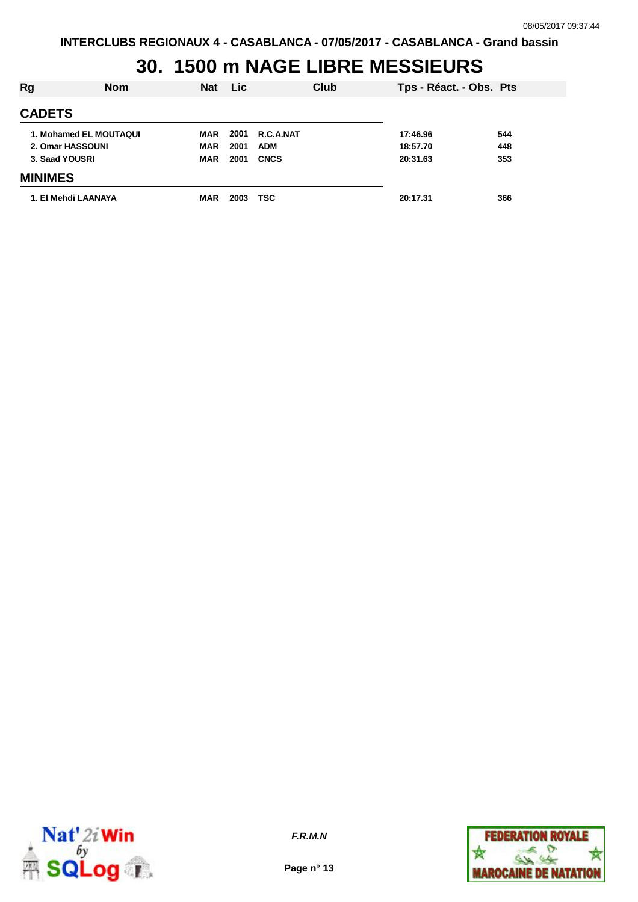# **30. 1500 m NAGE LIBRE MESSIEURS**

| <b>Rg</b>              | <b>Nom</b> | <b>Nat</b> | <b>Lic</b> |             | Club | Tps - Réact. - Obs. Pts |     |
|------------------------|------------|------------|------------|-------------|------|-------------------------|-----|
| <b>CADETS</b>          |            |            |            |             |      |                         |     |
| 1. Mohamed EL MOUTAQUI |            | MAR        | 2001       | R.C.A.NAT   |      | 17:46.96                | 544 |
| 2. Omar HASSOUNI       |            | <b>MAR</b> | 2001       | <b>ADM</b>  |      | 18:57.70                | 448 |
| 3. Saad YOUSRI         |            | <b>MAR</b> | 2001       | <b>CNCS</b> |      | 20:31.63                | 353 |
| <b>MINIMES</b>         |            |            |            |             |      |                         |     |
| 1. El Mehdi LAANAYA    |            | <b>MAR</b> | 2003       | <b>TSC</b>  |      | 20:17.31                | 366 |



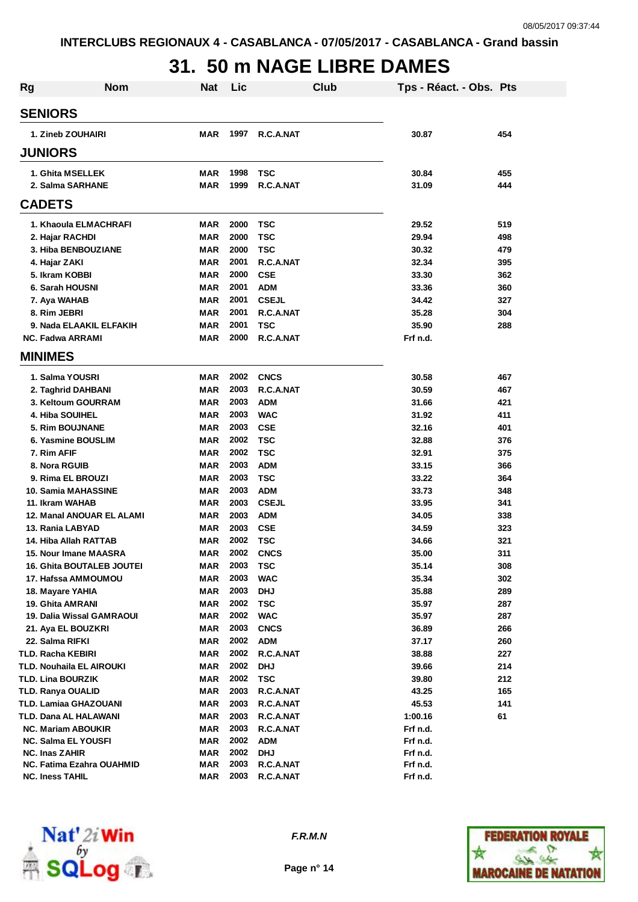## **31. 50 m NAGE LIBRE DAMES**

| <b>Rg</b>         | <b>Nom</b>                       | <b>Nat</b> | Lic  | Club         |  | Tps - Réact. - Obs. Pts |     |  |  |  |
|-------------------|----------------------------------|------------|------|--------------|--|-------------------------|-----|--|--|--|
| <b>SENIORS</b>    |                                  |            |      |              |  |                         |     |  |  |  |
| 1. Zineb ZOUHAIRI |                                  | MAR        | 1997 | R.C.A.NAT    |  | 30.87                   | 454 |  |  |  |
|                   |                                  |            |      |              |  |                         |     |  |  |  |
|                   | <b>JUNIORS</b>                   |            |      |              |  |                         |     |  |  |  |
|                   | 1. Ghita MSELLEK                 | <b>MAR</b> | 1998 | <b>TSC</b>   |  | 30.84                   | 455 |  |  |  |
|                   | 2. Salma SARHANE                 | <b>MAR</b> | 1999 | R.C.A.NAT    |  | 31.09                   | 444 |  |  |  |
|                   | <b>CADETS</b>                    |            |      |              |  |                         |     |  |  |  |
|                   | 1. Khaoula ELMACHRAFI            | <b>MAR</b> | 2000 | <b>TSC</b>   |  | 29.52                   | 519 |  |  |  |
|                   | 2. Hajar RACHDI                  | <b>MAR</b> | 2000 | <b>TSC</b>   |  | 29.94                   | 498 |  |  |  |
|                   | 3. Hiba BENBOUZIANE              | <b>MAR</b> | 2000 | <b>TSC</b>   |  | 30.32                   | 479 |  |  |  |
|                   | 4. Hajar ZAKI                    | <b>MAR</b> | 2001 | R.C.A.NAT    |  | 32.34                   | 395 |  |  |  |
|                   | 5. Ikram KOBBI                   | <b>MAR</b> | 2000 | <b>CSE</b>   |  | 33.30                   | 362 |  |  |  |
|                   | 6. Sarah HOUSNI                  | <b>MAR</b> | 2001 | <b>ADM</b>   |  | 33.36                   | 360 |  |  |  |
|                   | 7. Aya WAHAB                     | <b>MAR</b> | 2001 | <b>CSEJL</b> |  | 34.42                   | 327 |  |  |  |
|                   | 8. Rim JEBRI                     | <b>MAR</b> | 2001 | R.C.A.NAT    |  | 35.28                   | 304 |  |  |  |
|                   | 9. Nada ELAAKIL ELFAKIH          | <b>MAR</b> | 2001 | <b>TSC</b>   |  | 35.90                   | 288 |  |  |  |
|                   | <b>NC. Fadwa ARRAMI</b>          | <b>MAR</b> | 2000 | R.C.A.NAT    |  | Frf n.d.                |     |  |  |  |
|                   | <b>MINIMES</b>                   |            |      |              |  |                         |     |  |  |  |
|                   | 1. Salma YOUSRI                  | <b>MAR</b> | 2002 | <b>CNCS</b>  |  | 30.58                   | 467 |  |  |  |
|                   | 2. Taghrid DAHBANI               | <b>MAR</b> | 2003 | R.C.A.NAT    |  | 30.59                   | 467 |  |  |  |
|                   | 3. Keltoum GOURRAM               | <b>MAR</b> | 2003 | <b>ADM</b>   |  | 31.66                   | 421 |  |  |  |
|                   | 4. Hiba SOUIHEL                  | <b>MAR</b> | 2003 | <b>WAC</b>   |  | 31.92                   | 411 |  |  |  |
|                   | 5. Rim BOUJNANE                  | <b>MAR</b> | 2003 | <b>CSE</b>   |  | 32.16                   | 401 |  |  |  |
|                   | 6. Yasmine BOUSLIM               | <b>MAR</b> | 2002 | <b>TSC</b>   |  | 32.88                   | 376 |  |  |  |
|                   | 7. Rim AFIF                      | <b>MAR</b> | 2002 | <b>TSC</b>   |  | 32.91                   | 375 |  |  |  |
|                   | 8. Nora RGUIB                    | <b>MAR</b> | 2003 | <b>ADM</b>   |  | 33.15                   | 366 |  |  |  |
|                   | 9. Rima EL BROUZI                | <b>MAR</b> | 2003 | <b>TSC</b>   |  | 33.22                   | 364 |  |  |  |
|                   | 10. Samia MAHASSINE              | MAR        | 2003 | <b>ADM</b>   |  | 33.73                   | 348 |  |  |  |
|                   | 11. Ikram WAHAB                  | <b>MAR</b> | 2003 | <b>CSEJL</b> |  | 33.95                   | 341 |  |  |  |
|                   | 12. Manal ANOUAR EL ALAMI        | <b>MAR</b> | 2003 | <b>ADM</b>   |  | 34.05                   | 338 |  |  |  |
|                   | 13. Rania LABYAD                 | MAR        | 2003 | <b>CSE</b>   |  | 34.59                   | 323 |  |  |  |
|                   | 14. Hiba Allah RATTAB            | <b>MAR</b> | 2002 | <b>TSC</b>   |  | 34.66                   | 321 |  |  |  |
|                   | 15. Nour Imane MAASRA            | <b>MAR</b> | 2002 | <b>CNCS</b>  |  | 35.00                   | 311 |  |  |  |
|                   | <b>16. Ghita BOUTALEB JOUTEI</b> | MAR        | 2003 | <b>TSC</b>   |  | 35.14                   | 308 |  |  |  |
|                   | 17. Hafssa AMMOUMOU              | MAR        | 2003 | <b>WAC</b>   |  | 35.34                   | 302 |  |  |  |
|                   | 18. Mayare YAHIA                 | <b>MAR</b> | 2003 | <b>DHJ</b>   |  | 35.88                   | 289 |  |  |  |
|                   | 19. Ghita AMRANI                 | <b>MAR</b> | 2002 | <b>TSC</b>   |  | 35.97                   | 287 |  |  |  |
|                   | 19. Dalia Wissal GAMRAOUI        | MAR        | 2002 | <b>WAC</b>   |  | 35.97                   | 287 |  |  |  |
|                   | 21. Aya EL BOUZKRI               | MAR        | 2003 | <b>CNCS</b>  |  | 36.89                   | 266 |  |  |  |
|                   | 22. Salma RIFKI                  | <b>MAR</b> | 2002 | <b>ADM</b>   |  | 37.17                   | 260 |  |  |  |
|                   | <b>TLD. Racha KEBIRI</b>         | <b>MAR</b> | 2002 | R.C.A.NAT    |  | 38.88                   | 227 |  |  |  |
|                   | TLD. Nouhaila EL AIROUKI         | <b>MAR</b> | 2002 | <b>DHJ</b>   |  | 39.66                   | 214 |  |  |  |
|                   | <b>TLD. Lina BOURZIK</b>         | <b>MAR</b> | 2002 | <b>TSC</b>   |  | 39.80                   | 212 |  |  |  |
|                   | <b>TLD. Ranya OUALID</b>         | <b>MAR</b> | 2003 | R.C.A.NAT    |  | 43.25                   | 165 |  |  |  |
|                   | <b>TLD. Lamiaa GHAZOUANI</b>     | <b>MAR</b> | 2003 | R.C.A.NAT    |  | 45.53                   | 141 |  |  |  |
|                   | TLD. Dana AL HALAWANI            | <b>MAR</b> | 2003 | R.C.A.NAT    |  | 1:00.16                 | 61  |  |  |  |
|                   | <b>NC. Mariam ABOUKIR</b>        | MAR        | 2003 | R.C.A.NAT    |  | Frf n.d.                |     |  |  |  |
|                   | <b>NC. Salma EL YOUSFI</b>       | MAR        | 2002 | ADM          |  | Frf n.d.                |     |  |  |  |
|                   | <b>NC. Inas ZAHIR</b>            | <b>MAR</b> | 2002 | <b>DHJ</b>   |  | Frf n.d.                |     |  |  |  |
|                   | NC. Fatima Ezahra OUAHMID        | MAR        | 2003 | R.C.A.NAT    |  | Frf n.d.                |     |  |  |  |
|                   | <b>NC. Iness TAHIL</b>           | MAR        | 2003 | R.C.A.NAT    |  | Frf n.d.                |     |  |  |  |



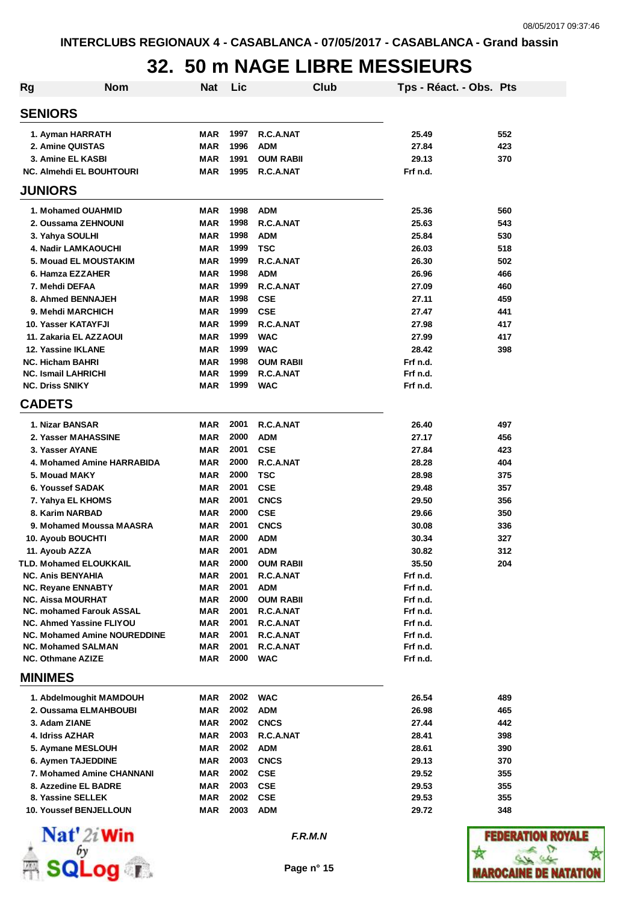# **32. 50 m NAGE LIBRE MESSIEURS**

| Rg | <b>Nom</b>                                         | Nat        | Lic          |                               | Club | Tps - Réact. - Obs. Pts |     |
|----|----------------------------------------------------|------------|--------------|-------------------------------|------|-------------------------|-----|
|    | <b>SENIORS</b>                                     |            |              |                               |      |                         |     |
|    | 1. Ayman HARRATH                                   | MAR        | 1997         | R.C.A.NAT                     |      | 25.49                   | 552 |
|    | 2. Amine QUISTAS                                   | <b>MAR</b> | 1996         | <b>ADM</b>                    |      | 27.84                   | 423 |
|    | 3. Amine EL KASBI                                  | <b>MAR</b> | 1991         | <b>OUM RABII</b>              |      | 29.13                   | 370 |
|    | <b>NC. Almehdi EL BOUHTOURI</b>                    | <b>MAR</b> | 1995         | R.C.A.NAT                     |      | Frf n.d.                |     |
|    | <b>JUNIORS</b>                                     |            |              |                               |      |                         |     |
|    | 1. Mohamed OUAHMID                                 | MAR        | 1998         | <b>ADM</b>                    |      | 25.36                   | 560 |
|    | 2. Oussama ZEHNOUNI                                | <b>MAR</b> | 1998         | R.C.A.NAT                     |      | 25.63                   | 543 |
|    | 3. Yahya SOULHI                                    | <b>MAR</b> | 1998         | <b>ADM</b>                    |      | 25.84                   | 530 |
|    | 4. Nadir LAMKAOUCHI                                | <b>MAR</b> | 1999         | <b>TSC</b>                    |      | 26.03                   | 518 |
|    | 5. Mouad EL MOUSTAKIM                              | <b>MAR</b> | 1999         | R.C.A.NAT                     |      | 26.30                   | 502 |
|    | 6. Hamza EZZAHER                                   | <b>MAR</b> | 1998         | <b>ADM</b>                    |      | 26.96                   | 466 |
|    | 7. Mehdi DEFAA                                     | <b>MAR</b> | 1999         | R.C.A.NAT                     |      | 27.09                   | 460 |
|    | 8. Ahmed BENNAJEH                                  | MAR        | 1998         | <b>CSE</b>                    |      | 27.11                   | 459 |
|    | 9. Mehdi MARCHICH                                  | <b>MAR</b> | 1999         | <b>CSE</b>                    |      | 27.47                   | 441 |
|    | 10. Yasser KATAYFJI                                | <b>MAR</b> | 1999         | R.C.A.NAT                     |      | 27.98                   | 417 |
|    | 11. Zakaria EL AZZAOUI                             | <b>MAR</b> | 1999         | <b>WAC</b>                    |      | 27.99                   | 417 |
|    | 12. Yassine IKLANE                                 | <b>MAR</b> | 1999         | <b>WAC</b>                    |      | 28.42                   | 398 |
|    | <b>NC. Hicham BAHRI</b>                            | <b>MAR</b> | 1998         | <b>OUM RABII</b>              |      | Frf n.d.                |     |
|    | <b>NC. Ismail LAHRICHI</b>                         | <b>MAR</b> | 1999         | R.C.A.NAT                     |      | Frf n.d.                |     |
|    | <b>NC. Driss SNIKY</b>                             | MAR        | 1999         | <b>WAC</b>                    |      | Frf n.d.                |     |
|    | <b>CADETS</b>                                      |            |              |                               |      |                         |     |
|    | 1. Nizar BANSAR                                    | MAR        | 2001         | R.C.A.NAT                     |      | 26.40                   | 497 |
|    | 2. Yasser MAHASSINE                                | MAR        | 2000         | <b>ADM</b>                    |      | 27.17                   | 456 |
|    | 3. Yasser AYANE                                    | MAR        | 2001         | <b>CSE</b>                    |      | 27.84                   | 423 |
|    | 4. Mohamed Amine HARRABIDA                         | MAR        | 2000         | R.C.A.NAT                     |      | 28.28                   | 404 |
|    | 5. Mouad MAKY                                      | MAR        | 2000         | <b>TSC</b>                    |      | 28.98                   | 375 |
|    | 6. Youssef SADAK                                   | <b>MAR</b> | 2001         | <b>CSE</b>                    |      | 29.48                   | 357 |
|    | 7. Yahya EL KHOMS                                  | <b>MAR</b> | 2001         | <b>CNCS</b>                   |      | 29.50                   | 356 |
|    | 8. Karim NARBAD                                    | MAR        | 2000         | <b>CSE</b>                    |      | 29.66                   | 350 |
|    | 9. Mohamed Moussa MAASRA                           | MAR        | 2001         | <b>CNCS</b>                   |      | 30.08                   | 336 |
|    | 10. Ayoub BOUCHTI                                  | MAR        | 2000<br>2001 | <b>ADM</b>                    |      | 30.34                   | 327 |
|    | 11. Ayoub AZZA                                     | MAR        | 2000         | <b>ADM</b>                    |      | 30.82                   | 312 |
|    | TLD. Mohamed ELOUKKAIL<br><b>NC. Anis BENYAHIA</b> | MAR<br>MAR | 2001         | <b>OUM RABII</b><br>R.C.A.NAT |      | 35.50<br>Frf n.d.       | 204 |
|    | <b>NC. Revane ENNABTY</b>                          | <b>MAR</b> | 2001         | ADM                           |      | Frf n.d.                |     |
|    | <b>NC. Aissa MOURHAT</b>                           | MAR        | 2000         | <b>OUM RABII</b>              |      | Frf n.d.                |     |
|    | <b>NC. mohamed Farouk ASSAL</b>                    | <b>MAR</b> | 2001         | R.C.A.NAT                     |      | Frf n.d.                |     |
|    | <b>NC. Ahmed Yassine FLIYOU</b>                    | MAR        | 2001         | R.C.A.NAT                     |      | Frf n.d.                |     |
|    | <b>NC. Mohamed Amine NOUREDDINE</b>                | MAR        | 2001         | R.C.A.NAT                     |      | Frf n.d.                |     |
|    | <b>NC. Mohamed SALMAN</b>                          | MAR        | 2001         | R.C.A.NAT                     |      | Frf n.d.                |     |
|    | <b>NC. Othmane AZIZE</b>                           | MAR        | 2000         | <b>WAC</b>                    |      | Frf n.d.                |     |
|    | <b>MINIMES</b>                                     |            |              |                               |      |                         |     |
|    | 1. Abdelmoughit MAMDOUH                            | MAR        | 2002         | <b>WAC</b>                    |      | 26.54                   | 489 |
|    | 2. Oussama ELMAHBOUBI                              | <b>MAR</b> | 2002         | <b>ADM</b>                    |      | 26.98                   | 465 |
|    | 3. Adam ZIANE                                      | MAR        | 2002         | <b>CNCS</b>                   |      | 27.44                   | 442 |
|    | 4. Idriss AZHAR                                    | <b>MAR</b> | 2003         | R.C.A.NAT                     |      | 28.41                   | 398 |
|    | 5. Aymane MESLOUH                                  | <b>MAR</b> | 2002         | <b>ADM</b>                    |      | 28.61                   | 390 |
|    | 6. Aymen TAJEDDINE                                 | <b>MAR</b> | 2003         | <b>CNCS</b>                   |      | 29.13                   | 370 |
|    | 7. Mohamed Amine CHANNANI                          | <b>MAR</b> | 2002         | <b>CSE</b>                    |      | 29.52                   | 355 |
|    | 8. Azzedine EL BADRE                               | <b>MAR</b> | 2003         | <b>CSE</b>                    |      | 29.53                   | 355 |
|    | 8. Yassine SELLEK                                  | MAR        | 2002         | <b>CSE</b>                    |      | 29.53                   | 355 |
|    | 10. Youssef BENJELLOUN                             | <b>MAR</b> | 2003         | <b>ADM</b>                    |      | 29.72                   | 348 |